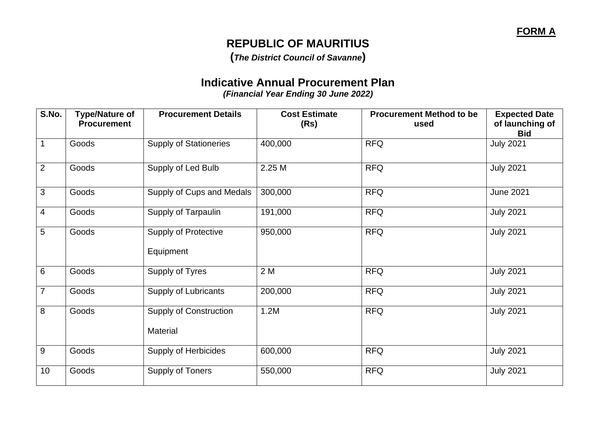## **REPUBLIC OF MAURITIUS**

**(***The District Council of Savanne***)**

## **Indicative Annual Procurement Plan**

*(Financial Year Ending 30 June 2022)*

| S.No.          | <b>Type/Nature of</b><br><b>Procurement</b> | <b>Procurement Details</b>                       | <b>Cost Estimate</b><br>(Rs) | <b>Procurement Method to be</b><br>used | <b>Expected Date</b><br>of launching of<br><b>Bid</b> |
|----------------|---------------------------------------------|--------------------------------------------------|------------------------------|-----------------------------------------|-------------------------------------------------------|
|                | Goods                                       | <b>Supply of Stationeries</b>                    | 400,000                      | <b>RFQ</b>                              | <b>July 2021</b>                                      |
| $\overline{2}$ | Goods                                       | Supply of Led Bulb                               | 2.25 M                       | <b>RFQ</b>                              | <b>July 2021</b>                                      |
| 3              | Goods                                       | Supply of Cups and Medals                        | 300,000                      | <b>RFQ</b>                              | <b>June 2021</b>                                      |
| 4              | Goods                                       | Supply of Tarpaulin                              | 191,000                      | <b>RFQ</b>                              | <b>July 2021</b>                                      |
| 5              | Goods                                       | <b>Supply of Protective</b><br>Equipment         | 950,000                      | <b>RFQ</b>                              | <b>July 2021</b>                                      |
| 6              | Goods                                       | Supply of Tyres                                  | 2 M                          | <b>RFQ</b>                              | <b>July 2021</b>                                      |
| 7              | Goods                                       | <b>Supply of Lubricants</b>                      | 200,000                      | <b>RFQ</b>                              | <b>July 2021</b>                                      |
| 8              | Goods                                       | <b>Supply of Construction</b><br><b>Material</b> | 1.2M                         | <b>RFQ</b>                              | <b>July 2021</b>                                      |
| 9              | Goods                                       | <b>Supply of Herbicides</b>                      | 600,000                      | <b>RFQ</b>                              | <b>July 2021</b>                                      |
| 10             | Goods                                       | Supply of Toners                                 | 550,000                      | <b>RFQ</b>                              | <b>July 2021</b>                                      |